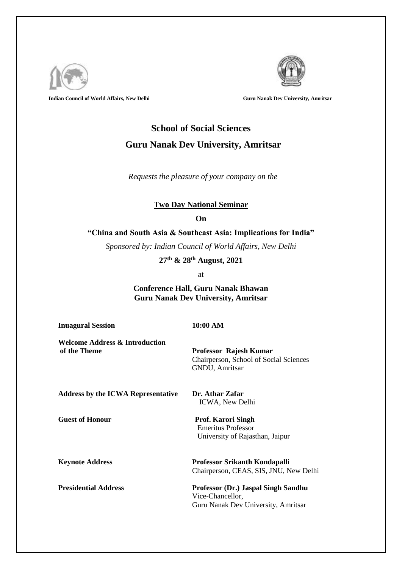

**Indian Council of World Affairs, New Delhi Guru Nanak Dev University, Amritsar Guru Nanak Dev University, Amritsar** 



## **School of Social Sciences Guru Nanak Dev University, Amritsar**

 *Requests the pleasure of your company on the* 

## **Two Day National Seminar**

**On**

**"China and South Asia & Southeast Asia: Implications for India"**

*Sponsored by: Indian Council of World Affairs, New Delhi* 

**27th & 28th August, 2021**

at

**Conference Hall, Guru Nanak Bhawan Guru Nanak Dev University, Amritsar**

**Inuagural Session 10:00 AM**

**Welcome Address & Introduction of the Theme Professor Rajesh Kumar**

Chairperson, School of Social Sciences GNDU, Amritsar

**Address by the ICWA Representative Dr. Athar Zafar**

**Guest of Honour Prof. Karori Singh** Emeritus Professor University of Rajasthan, Jaipur

ICWA, New Delhi

**Keynote Address Professor Srikanth Kondapalli** Chairperson, CEAS, SIS, JNU, New Delhi

**Presidential Address Professor (Dr.) Jaspal Singh Sandhu** Vice-Chancellor, Guru Nanak Dev University, Amritsar